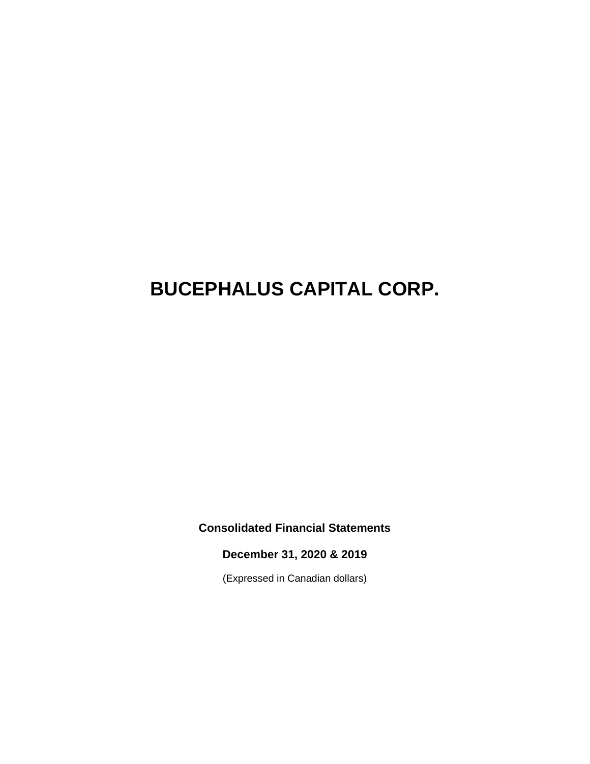# **BUCEPHALUS CAPITAL CORP.**

**Consolidated Financial Statements** 

**December 31, 2020 & 2019** 

(Expressed in Canadian dollars)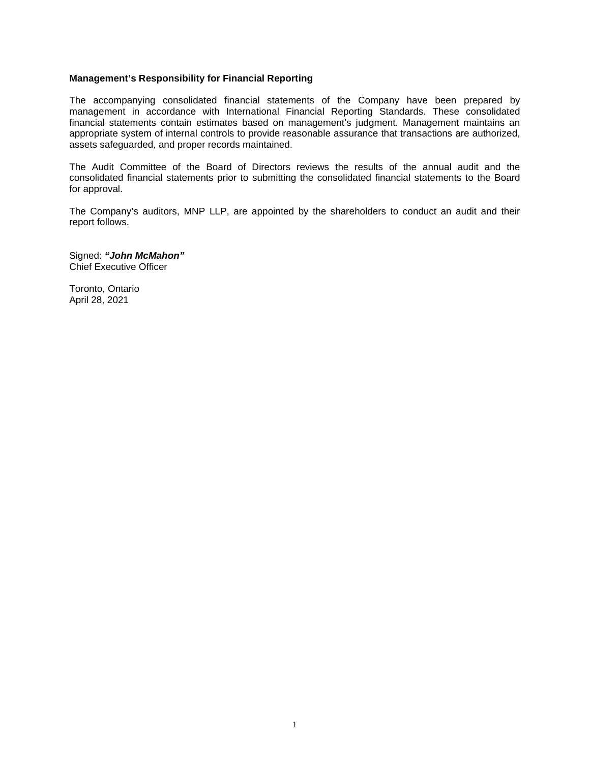## **Management's Responsibility for Financial Reporting**

The accompanying consolidated financial statements of the Company have been prepared by management in accordance with International Financial Reporting Standards. These consolidated financial statements contain estimates based on management's judgment. Management maintains an appropriate system of internal controls to provide reasonable assurance that transactions are authorized, assets safeguarded, and proper records maintained.

The Audit Committee of the Board of Directors reviews the results of the annual audit and the consolidated financial statements prior to submitting the consolidated financial statements to the Board for approval.

The Company's auditors, MNP LLP, are appointed by the shareholders to conduct an audit and their report follows.

Signed: *"John McMahon"*  Chief Executive Officer

Toronto, Ontario April 28, 2021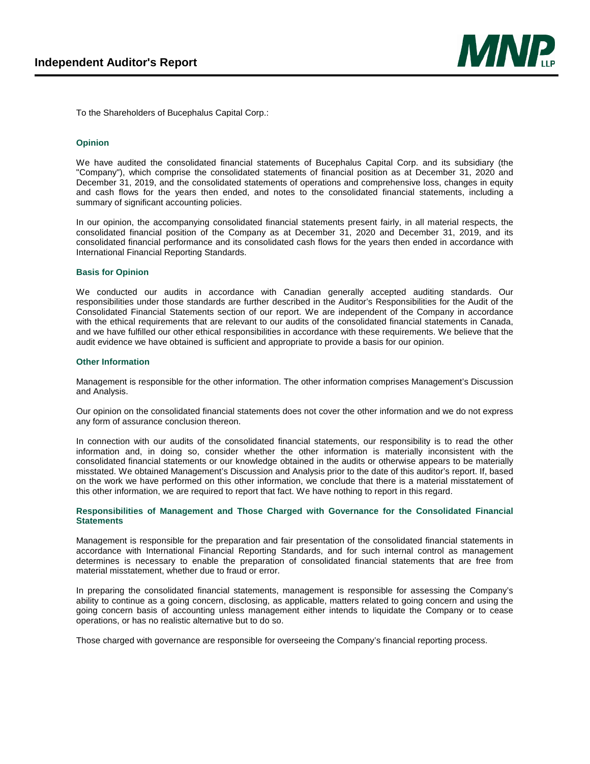

To the Shareholders of Bucephalus Capital Corp.:

#### **Opinion**

We have audited the consolidated financial statements of Bucephalus Capital Corp. and its subsidiary (the "Company"), which comprise the consolidated statements of financial position as at December 31, 2020 and December 31, 2019, and the consolidated statements of operations and comprehensive loss, changes in equity and cash flows for the years then ended, and notes to the consolidated financial statements, including a summary of significant accounting policies.

In our opinion, the accompanying consolidated financial statements present fairly, in all material respects, the consolidated financial position of the Company as at December 31, 2020 and December 31, 2019, and its consolidated financial performance and its consolidated cash flows for the years then ended in accordance with International Financial Reporting Standards.

#### **Basis for Opinion**

We conducted our audits in accordance with Canadian generally accepted auditing standards. Our responsibilities under those standards are further described in the Auditor's Responsibilities for the Audit of the Consolidated Financial Statements section of our report. We are independent of the Company in accordance with the ethical requirements that are relevant to our audits of the consolidated financial statements in Canada, and we have fulfilled our other ethical responsibilities in accordance with these requirements. We believe that the audit evidence we have obtained is sufficient and appropriate to provide a basis for our opinion.

#### **Other Information**

Management is responsible for the other information. The other information comprises Management's Discussion and Analysis.

Our opinion on the consolidated financial statements does not cover the other information and we do not express any form of assurance conclusion thereon.

In connection with our audits of the consolidated financial statements, our responsibility is to read the other information and, in doing so, consider whether the other information is materially inconsistent with the consolidated financial statements or our knowledge obtained in the audits or otherwise appears to be materially misstated. We obtained Management's Discussion and Analysis prior to the date of this auditor's report. If, based on the work we have performed on this other information, we conclude that there is a material misstatement of this other information, we are required to report that fact. We have nothing to report in this regard.

#### **Responsibilities of Management and Those Charged with Governance for the Consolidated Financial Statements**

Management is responsible for the preparation and fair presentation of the consolidated financial statements in accordance with International Financial Reporting Standards, and for such internal control as management determines is necessary to enable the preparation of consolidated financial statements that are free from material misstatement, whether due to fraud or error.

In preparing the consolidated financial statements, management is responsible for assessing the Company's ability to continue as a going concern, disclosing, as applicable, matters related to going concern and using the going concern basis of accounting unless management either intends to liquidate the Company or to cease operations, or has no realistic alternative but to do so.

Those charged with governance are responsible for overseeing the Company's financial reporting process.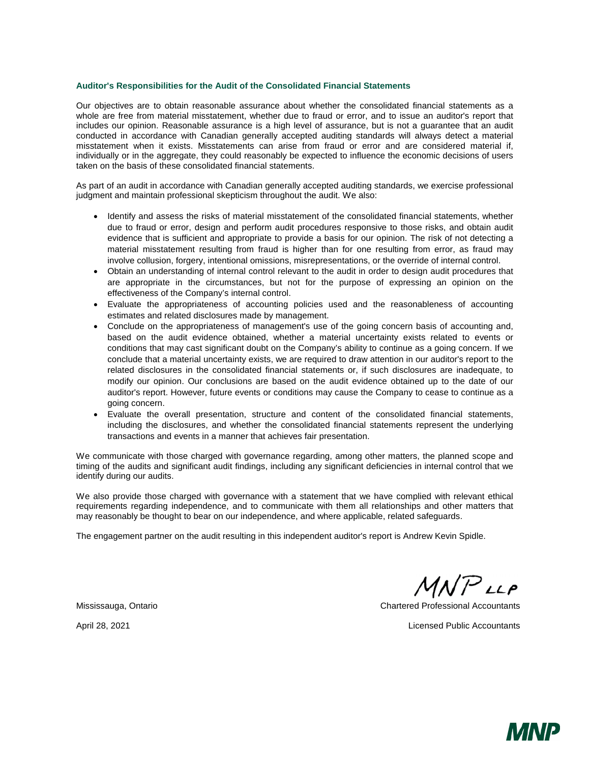#### **Auditor's Responsibilities for the Audit of the Consolidated Financial Statements**

Our objectives are to obtain reasonable assurance about whether the consolidated financial statements as a whole are free from material misstatement, whether due to fraud or error, and to issue an auditor's report that includes our opinion. Reasonable assurance is a high level of assurance, but is not a guarantee that an audit conducted in accordance with Canadian generally accepted auditing standards will always detect a material misstatement when it exists. Misstatements can arise from fraud or error and are considered material if, individually or in the aggregate, they could reasonably be expected to influence the economic decisions of users taken on the basis of these consolidated financial statements.

As part of an audit in accordance with Canadian generally accepted auditing standards, we exercise professional judgment and maintain professional skepticism throughout the audit. We also:

- Identify and assess the risks of material misstatement of the consolidated financial statements, whether due to fraud or error, design and perform audit procedures responsive to those risks, and obtain audit evidence that is sufficient and appropriate to provide a basis for our opinion. The risk of not detecting a material misstatement resulting from fraud is higher than for one resulting from error, as fraud may involve collusion, forgery, intentional omissions, misrepresentations, or the override of internal control.
- Obtain an understanding of internal control relevant to the audit in order to design audit procedures that are appropriate in the circumstances, but not for the purpose of expressing an opinion on the effectiveness of the Company's internal control.
- Evaluate the appropriateness of accounting policies used and the reasonableness of accounting estimates and related disclosures made by management.
- Conclude on the appropriateness of management's use of the going concern basis of accounting and, based on the audit evidence obtained, whether a material uncertainty exists related to events or conditions that may cast significant doubt on the Company's ability to continue as a going concern. If we conclude that a material uncertainty exists, we are required to draw attention in our auditor's report to the related disclosures in the consolidated financial statements or, if such disclosures are inadequate, to modify our opinion. Our conclusions are based on the audit evidence obtained up to the date of our auditor's report. However, future events or conditions may cause the Company to cease to continue as a going concern.
- Evaluate the overall presentation, structure and content of the consolidated financial statements, including the disclosures, and whether the consolidated financial statements represent the underlying transactions and events in a manner that achieves fair presentation.

We communicate with those charged with governance regarding, among other matters, the planned scope and timing of the audits and significant audit findings, including any significant deficiencies in internal control that we identify during our audits.

We also provide those charged with governance with a statement that we have complied with relevant ethical requirements regarding independence, and to communicate with them all relationships and other matters that may reasonably be thought to bear on our independence, and where applicable, related safeguards.

The engagement partner on the audit resulting in this independent auditor's report is Andrew Kevin Spidle.

 $MNP$ LLP

Mississauga, Ontario Chartered Professional Accountants

April 28, 2021 Licensed Public Accountants

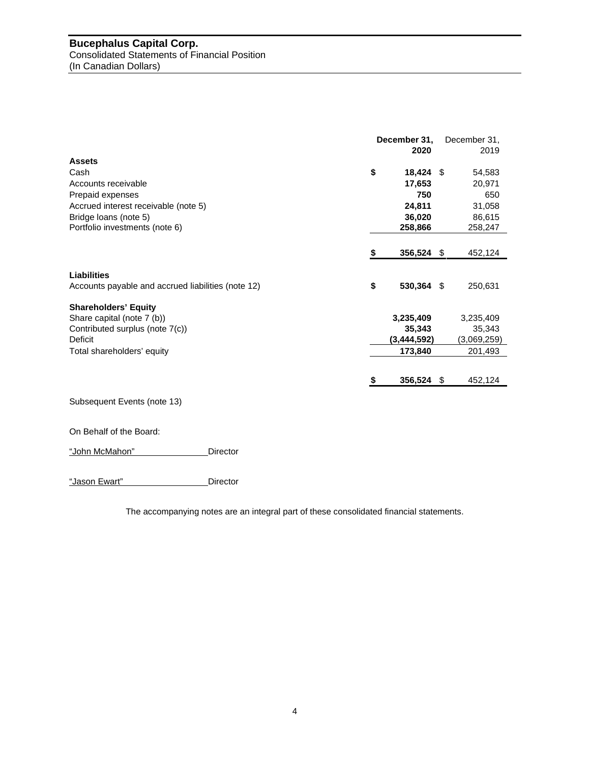## **Bucephalus Capital Corp.**  Consolidated Statements of Financial Position (In Canadian Dollars)

|                                                                          | December 31,<br>2020 | December 31,<br>2019 |
|--------------------------------------------------------------------------|----------------------|----------------------|
| <b>Assets</b>                                                            |                      |                      |
| Cash                                                                     | \$<br>$18,424$ \$    | 54,583               |
| Accounts receivable                                                      | 17,653               | 20,971               |
| Prepaid expenses                                                         | 750                  | 650                  |
| Accrued interest receivable (note 5)                                     | 24,811               | 31,058               |
| Bridge loans (note 5)                                                    | 36,020               | 86,615               |
| Portfolio investments (note 6)                                           | 258,866              | 258,247              |
|                                                                          |                      |                      |
|                                                                          | \$<br>356,524 \$     | 452,124              |
| <b>Liabilities</b><br>Accounts payable and accrued liabilities (note 12) | \$<br>530,364 \$     | 250,631              |
| <b>Shareholders' Equity</b>                                              |                      |                      |
| Share capital (note 7 (b))                                               | 3,235,409            | 3,235,409            |
| Contributed surplus (note 7(c))                                          | 35,343               | 35,343               |
| Deficit                                                                  | (3,444,592)          | (3,069,259)          |
| Total shareholders' equity                                               | 173,840              | 201,493              |
|                                                                          | \$<br>356,524 \$     | 452,124              |
| Subsequent Events (note 13)                                              |                      |                      |

On Behalf of the Board:

"John McMahon" Director

"Jason Ewart" Director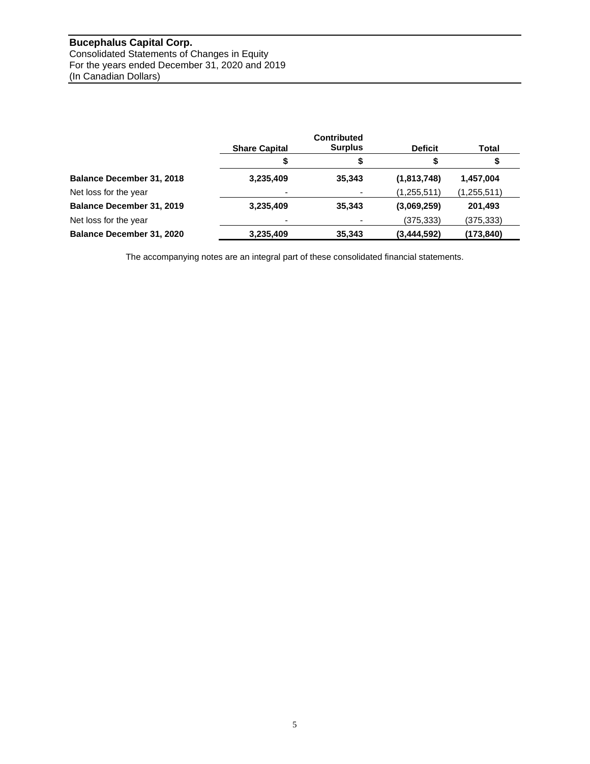## **Bucephalus Capital Corp.**  Consolidated Statements of Changes in Equity For the years ended December 31, 2020 and 2019 (In Canadian Dollars)

|                                  | <b>Share Capital</b> | <b>Contributed</b><br><b>Surplus</b> | <b>Deficit</b> | Total       |
|----------------------------------|----------------------|--------------------------------------|----------------|-------------|
|                                  | S                    | D.                                   |                | ۰D          |
| <b>Balance December 31, 2018</b> | 3,235,409            | 35,343                               | (1,813,748)    | 1,457,004   |
| Net loss for the year            |                      | -                                    | (1, 255, 511)  | (1,255,511) |
| <b>Balance December 31, 2019</b> | 3,235,409            | 35,343                               | (3,069,259)    | 201,493     |
| Net loss for the year            |                      |                                      | (375, 333)     | (375,333)   |
| <b>Balance December 31, 2020</b> | 3,235,409            | 35,343                               | (3,444,592)    | (173,840)   |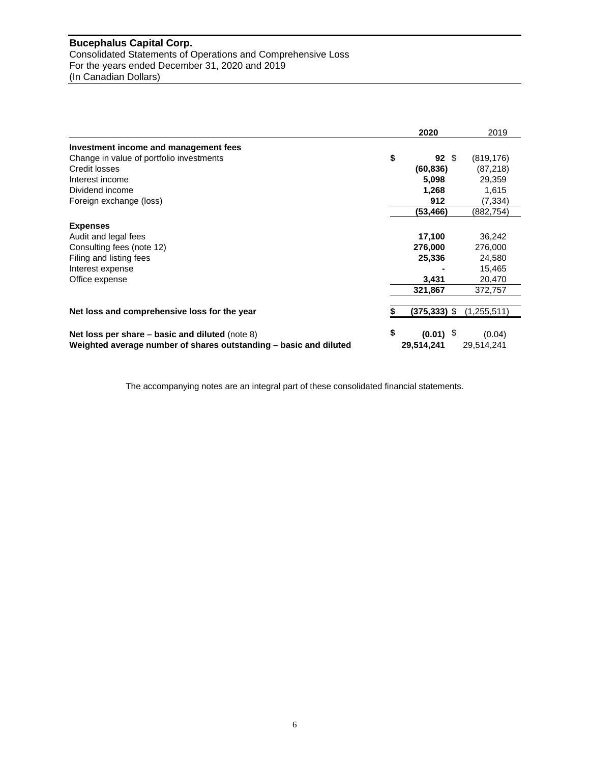## **Bucephalus Capital Corp.**  Consolidated Statements of Operations and Comprehensive Loss For the years ended December 31, 2020 and 2019 (In Canadian Dollars)

|                                                                   | 2020                  | 2019        |
|-------------------------------------------------------------------|-----------------------|-------------|
| Investment income and management fees                             |                       |             |
| Change in value of portfolio investments                          | \$<br>$92 \text{ } $$ | (819, 176)  |
| Credit losses                                                     | (60, 836)             | (87,218)    |
| Interest income                                                   | 5,098                 | 29,359      |
| Dividend income                                                   | 1,268                 | 1,615       |
| Foreign exchange (loss)                                           | 912                   | (7, 334)    |
|                                                                   | (53,466)              | (882,754)   |
| <b>Expenses</b>                                                   |                       |             |
| Audit and legal fees                                              | 17,100                | 36,242      |
| Consulting fees (note 12)                                         | 276,000               | 276,000     |
| Filing and listing fees                                           | 25,336                | 24,580      |
| Interest expense                                                  |                       | 15,465      |
| Office expense                                                    | 3,431                 | 20,470      |
|                                                                   | 321,867               | 372,757     |
|                                                                   |                       |             |
| Net loss and comprehensive loss for the year                      | $(375, 333)$ \$       | (1,255,511) |
| Net loss per share - basic and diluted (note 8)                   | \$<br>$(0.01)$ \$     | (0.04)      |
| Weighted average number of shares outstanding – basic and diluted | 29,514,241            | 29,514,241  |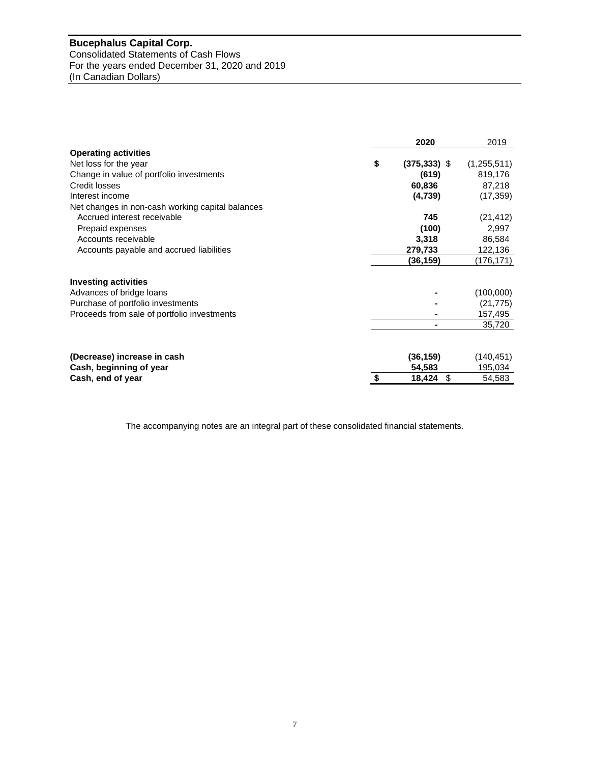## **Bucephalus Capital Corp.**  Consolidated Statements of Cash Flows For the years ended December 31, 2020 and 2019 (In Canadian Dollars)

|                                                  | 2020                  | 2019        |
|--------------------------------------------------|-----------------------|-------------|
| <b>Operating activities</b>                      |                       |             |
| Net loss for the year                            | \$<br>$(375, 333)$ \$ | (1,255,511) |
| Change in value of portfolio investments         | (619)                 | 819,176     |
| <b>Credit losses</b>                             | 60,836                | 87,218      |
| Interest income                                  | (4,739)               | (17, 359)   |
| Net changes in non-cash working capital balances |                       |             |
| Accrued interest receivable                      | 745                   | (21, 412)   |
| Prepaid expenses                                 | (100)                 | 2,997       |
| Accounts receivable                              | 3,318                 | 86,584      |
| Accounts payable and accrued liabilities         | 279,733               | 122,136     |
|                                                  | (36,159)              | (176,171)   |
| <b>Investing activities</b>                      |                       |             |
| Advances of bridge loans                         |                       | (100,000)   |
| Purchase of portfolio investments                |                       | (21, 775)   |
| Proceeds from sale of portfolio investments      |                       | 157,495     |
|                                                  |                       | 35,720      |
|                                                  |                       |             |
| (Decrease) increase in cash                      | (36, 159)             | (140, 451)  |
| Cash, beginning of year                          | 54,583                | 195,034     |
| Cash, end of year                                | \$<br>\$<br>18,424    | 54,583      |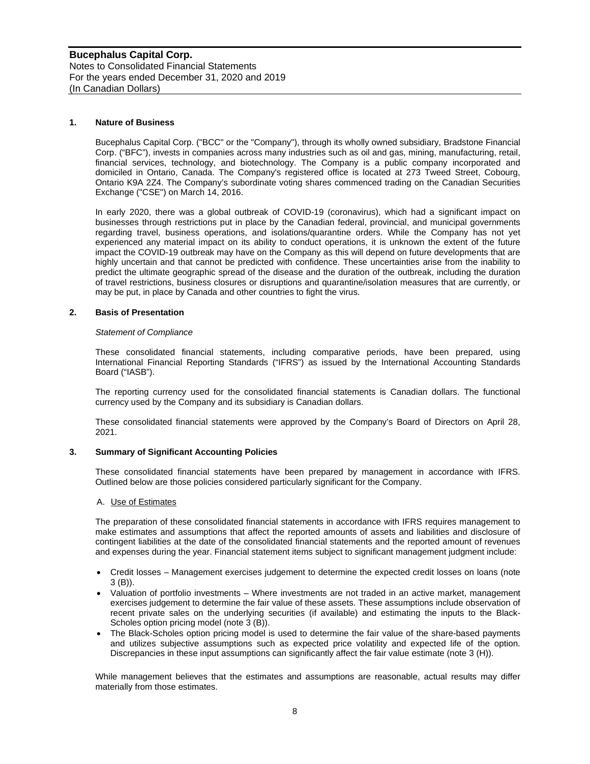Notes to Consolidated Financial Statements For the years ended December 31, 2020 and 2019 (In Canadian Dollars)

#### **1. Nature of Business**

Bucephalus Capital Corp. ("BCC" or the "Company"), through its wholly owned subsidiary, Bradstone Financial Corp. ("BFC"), invests in companies across many industries such as oil and gas, mining, manufacturing, retail, financial services, technology, and biotechnology. The Company is a public company incorporated and domiciled in Ontario, Canada. The Company's registered office is located at 273 Tweed Street, Cobourg, Ontario K9A 2Z4. The Company's subordinate voting shares commenced trading on the Canadian Securities Exchange ("CSE") on March 14, 2016.

In early 2020, there was a global outbreak of COVID-19 (coronavirus), which had a significant impact on businesses through restrictions put in place by the Canadian federal, provincial, and municipal governments regarding travel, business operations, and isolations/quarantine orders. While the Company has not yet experienced any material impact on its ability to conduct operations, it is unknown the extent of the future impact the COVID-19 outbreak may have on the Company as this will depend on future developments that are highly uncertain and that cannot be predicted with confidence. These uncertainties arise from the inability to predict the ultimate geographic spread of the disease and the duration of the outbreak, including the duration of travel restrictions, business closures or disruptions and quarantine/isolation measures that are currently, or may be put, in place by Canada and other countries to fight the virus.

#### **2. Basis of Presentation**

#### *Statement of Compliance*

These consolidated financial statements, including comparative periods, have been prepared, using International Financial Reporting Standards ("IFRS") as issued by the International Accounting Standards Board ("IASB").

The reporting currency used for the consolidated financial statements is Canadian dollars. The functional currency used by the Company and its subsidiary is Canadian dollars.

These consolidated financial statements were approved by the Company's Board of Directors on April 28, 2021.

#### **3. Summary of Significant Accounting Policies**

These consolidated financial statements have been prepared by management in accordance with IFRS. Outlined below are those policies considered particularly significant for the Company.

#### A. Use of Estimates

The preparation of these consolidated financial statements in accordance with IFRS requires management to make estimates and assumptions that affect the reported amounts of assets and liabilities and disclosure of contingent liabilities at the date of the consolidated financial statements and the reported amount of revenues and expenses during the year. Financial statement items subject to significant management judgment include:

- Credit losses Management exercises judgement to determine the expected credit losses on loans (note 3 (B)).
- Valuation of portfolio investments Where investments are not traded in an active market, management exercises judgement to determine the fair value of these assets. These assumptions include observation of recent private sales on the underlying securities (if available) and estimating the inputs to the Black-Scholes option pricing model (note 3 (B)).
- The Black-Scholes option pricing model is used to determine the fair value of the share-based payments and utilizes subjective assumptions such as expected price volatility and expected life of the option. Discrepancies in these input assumptions can significantly affect the fair value estimate (note 3 (H)).

While management believes that the estimates and assumptions are reasonable, actual results may differ materially from those estimates.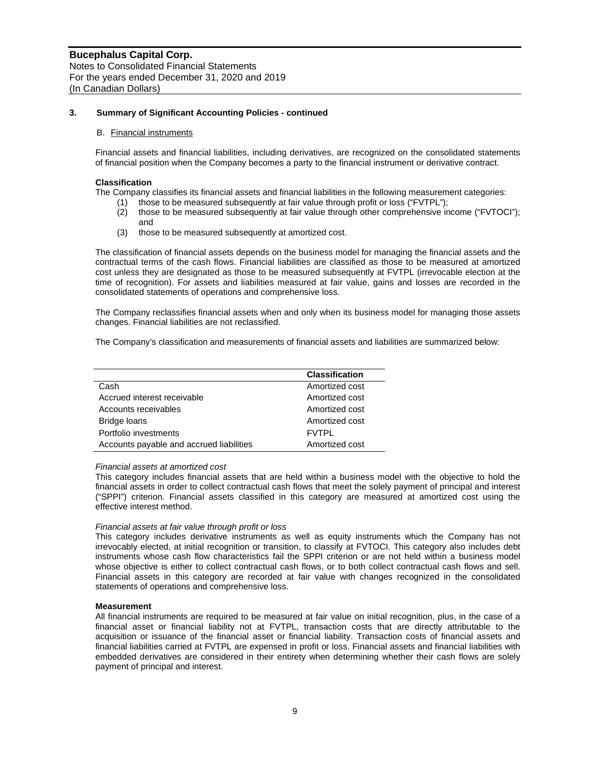Notes to Consolidated Financial Statements For the years ended December 31, 2020 and 2019 (In Canadian Dollars)

## **3. Summary of Significant Accounting Policies - continued**

## B. Financial instruments

Financial assets and financial liabilities, including derivatives, are recognized on the consolidated statements of financial position when the Company becomes a party to the financial instrument or derivative contract.

## **Classification**

The Company classifies its financial assets and financial liabilities in the following measurement categories:

- (1) those to be measured subsequently at fair value through profit or loss ("FVTPL");
- (2) those to be measured subsequently at fair value through other comprehensive income ("FVTOCI"); and
- (3) those to be measured subsequently at amortized cost.

The classification of financial assets depends on the business model for managing the financial assets and the contractual terms of the cash flows. Financial liabilities are classified as those to be measured at amortized cost unless they are designated as those to be measured subsequently at FVTPL (irrevocable election at the time of recognition). For assets and liabilities measured at fair value, gains and losses are recorded in the consolidated statements of operations and comprehensive loss.

The Company reclassifies financial assets when and only when its business model for managing those assets changes. Financial liabilities are not reclassified.

The Company's classification and measurements of financial assets and liabilities are summarized below:

|                                          | <b>Classification</b> |
|------------------------------------------|-----------------------|
| Cash                                     | Amortized cost        |
| Accrued interest receivable              | Amortized cost        |
| Accounts receivables                     | Amortized cost        |
| Bridge loans                             | Amortized cost        |
| Portfolio investments                    | <b>FVTPL</b>          |
| Accounts payable and accrued liabilities | Amortized cost        |

## *Financial assets at amortized cost*

This category includes financial assets that are held within a business model with the objective to hold the financial assets in order to collect contractual cash flows that meet the solely payment of principal and interest ("SPPI") criterion. Financial assets classified in this category are measured at amortized cost using the effective interest method.

## *Financial assets at fair value through profit or loss*

This category includes derivative instruments as well as equity instruments which the Company has not irrevocably elected, at initial recognition or transition, to classify at FVTOCI. This category also includes debt instruments whose cash flow characteristics fail the SPPI criterion or are not held within a business model whose objective is either to collect contractual cash flows, or to both collect contractual cash flows and sell. Financial assets in this category are recorded at fair value with changes recognized in the consolidated statements of operations and comprehensive loss.

## **Measurement**

All financial instruments are required to be measured at fair value on initial recognition, plus, in the case of a financial asset or financial liability not at FVTPL, transaction costs that are directly attributable to the acquisition or issuance of the financial asset or financial liability. Transaction costs of financial assets and financial liabilities carried at FVTPL are expensed in profit or loss. Financial assets and financial liabilities with embedded derivatives are considered in their entirety when determining whether their cash flows are solely payment of principal and interest.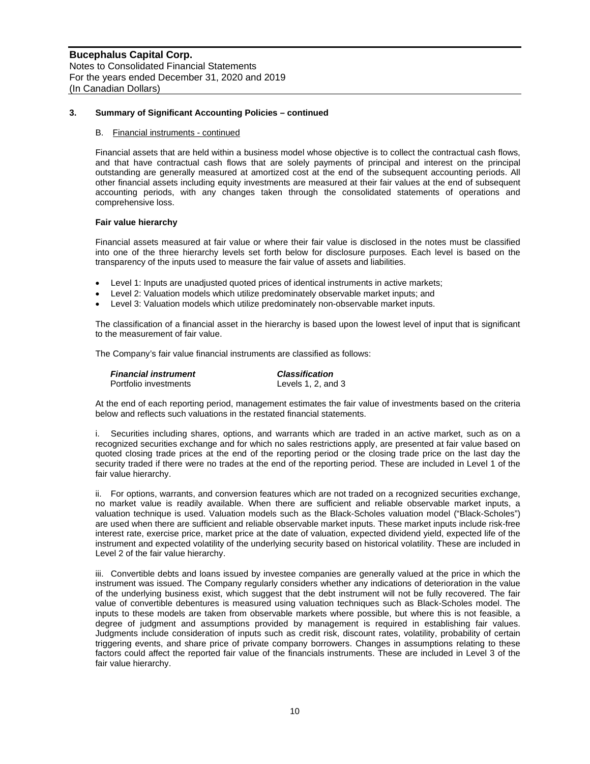#### **3. Summary of Significant Accounting Policies – continued**

#### B. Financial instruments - continued

Financial assets that are held within a business model whose objective is to collect the contractual cash flows, and that have contractual cash flows that are solely payments of principal and interest on the principal outstanding are generally measured at amortized cost at the end of the subsequent accounting periods. All other financial assets including equity investments are measured at their fair values at the end of subsequent accounting periods, with any changes taken through the consolidated statements of operations and comprehensive loss.

#### **Fair value hierarchy**

Financial assets measured at fair value or where their fair value is disclosed in the notes must be classified into one of the three hierarchy levels set forth below for disclosure purposes. Each level is based on the transparency of the inputs used to measure the fair value of assets and liabilities.

- Level 1: Inputs are unadjusted quoted prices of identical instruments in active markets;
- Level 2: Valuation models which utilize predominately observable market inputs; and
- Level 3: Valuation models which utilize predominately non-observable market inputs.

The classification of a financial asset in the hierarchy is based upon the lowest level of input that is significant to the measurement of fair value.

The Company's fair value financial instruments are classified as follows:

| <b>Financial instrument</b> | <b>Classification</b>   |
|-----------------------------|-------------------------|
| Portfolio investments       | Levels $1, 2$ , and $3$ |

At the end of each reporting period, management estimates the fair value of investments based on the criteria below and reflects such valuations in the restated financial statements.

i. Securities including shares, options, and warrants which are traded in an active market, such as on a recognized securities exchange and for which no sales restrictions apply, are presented at fair value based on quoted closing trade prices at the end of the reporting period or the closing trade price on the last day the security traded if there were no trades at the end of the reporting period. These are included in Level 1 of the fair value hierarchy.

ii. For options, warrants, and conversion features which are not traded on a recognized securities exchange, no market value is readily available. When there are sufficient and reliable observable market inputs, a valuation technique is used. Valuation models such as the Black-Scholes valuation model ("Black-Scholes") are used when there are sufficient and reliable observable market inputs. These market inputs include risk-free interest rate, exercise price, market price at the date of valuation, expected dividend yield, expected life of the instrument and expected volatility of the underlying security based on historical volatility. These are included in Level 2 of the fair value hierarchy.

iii. Convertible debts and loans issued by investee companies are generally valued at the price in which the instrument was issued. The Company regularly considers whether any indications of deterioration in the value of the underlying business exist, which suggest that the debt instrument will not be fully recovered. The fair value of convertible debentures is measured using valuation techniques such as Black-Scholes model. The inputs to these models are taken from observable markets where possible, but where this is not feasible, a degree of judgment and assumptions provided by management is required in establishing fair values. Judgments include consideration of inputs such as credit risk, discount rates, volatility, probability of certain triggering events, and share price of private company borrowers. Changes in assumptions relating to these factors could affect the reported fair value of the financials instruments. These are included in Level 3 of the fair value hierarchy.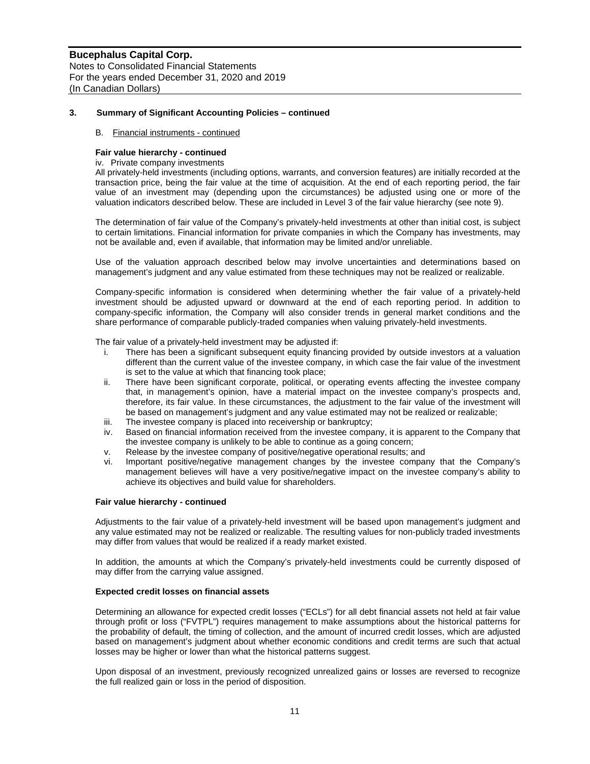Notes to Consolidated Financial Statements For the years ended December 31, 2020 and 2019 (In Canadian Dollars)

## **3. Summary of Significant Accounting Policies – continued**

## B. Financial instruments - continued

## **Fair value hierarchy - continued**

iv. Private company investments

All privately-held investments (including options, warrants, and conversion features) are initially recorded at the transaction price, being the fair value at the time of acquisition. At the end of each reporting period, the fair value of an investment may (depending upon the circumstances) be adjusted using one or more of the valuation indicators described below. These are included in Level 3 of the fair value hierarchy (see note 9).

The determination of fair value of the Company's privately-held investments at other than initial cost, is subject to certain limitations. Financial information for private companies in which the Company has investments, may not be available and, even if available, that information may be limited and/or unreliable.

Use of the valuation approach described below may involve uncertainties and determinations based on management's judgment and any value estimated from these techniques may not be realized or realizable.

Company-specific information is considered when determining whether the fair value of a privately-held investment should be adjusted upward or downward at the end of each reporting period. In addition to company-specific information, the Company will also consider trends in general market conditions and the share performance of comparable publicly-traded companies when valuing privately-held investments.

The fair value of a privately-held investment may be adjusted if:

- i. There has been a significant subsequent equity financing provided by outside investors at a valuation different than the current value of the investee company, in which case the fair value of the investment is set to the value at which that financing took place;
- ii. There have been significant corporate, political, or operating events affecting the investee company that, in management's opinion, have a material impact on the investee company's prospects and, therefore, its fair value. In these circumstances, the adjustment to the fair value of the investment will be based on management's judgment and any value estimated may not be realized or realizable;
- iii. The investee company is placed into receivership or bankruptcy;
- iv. Based on financial information received from the investee company, it is apparent to the Company that the investee company is unlikely to be able to continue as a going concern;
- v. Release by the investee company of positive/negative operational results; and
- vi. Important positive/negative management changes by the investee company that the Company's management believes will have a very positive/negative impact on the investee company's ability to achieve its objectives and build value for shareholders.

## **Fair value hierarchy - continued**

Adjustments to the fair value of a privately-held investment will be based upon management's judgment and any value estimated may not be realized or realizable. The resulting values for non-publicly traded investments may differ from values that would be realized if a ready market existed.

In addition, the amounts at which the Company's privately-held investments could be currently disposed of may differ from the carrying value assigned.

## **Expected credit losses on financial assets**

Determining an allowance for expected credit losses ("ECLs") for all debt financial assets not held at fair value through profit or loss ("FVTPL") requires management to make assumptions about the historical patterns for the probability of default, the timing of collection, and the amount of incurred credit losses, which are adjusted based on management's judgment about whether economic conditions and credit terms are such that actual losses may be higher or lower than what the historical patterns suggest.

Upon disposal of an investment, previously recognized unrealized gains or losses are reversed to recognize the full realized gain or loss in the period of disposition.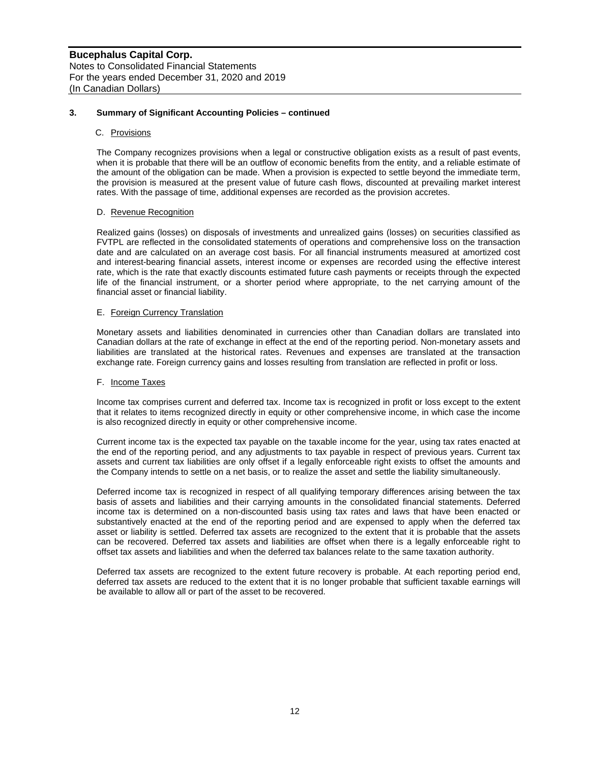#### **3. Summary of Significant Accounting Policies – continued**

#### C. Provisions

The Company recognizes provisions when a legal or constructive obligation exists as a result of past events, when it is probable that there will be an outflow of economic benefits from the entity, and a reliable estimate of the amount of the obligation can be made. When a provision is expected to settle beyond the immediate term, the provision is measured at the present value of future cash flows, discounted at prevailing market interest rates. With the passage of time, additional expenses are recorded as the provision accretes.

## D. Revenue Recognition

Realized gains (losses) on disposals of investments and unrealized gains (losses) on securities classified as FVTPL are reflected in the consolidated statements of operations and comprehensive loss on the transaction date and are calculated on an average cost basis. For all financial instruments measured at amortized cost and interest-bearing financial assets, interest income or expenses are recorded using the effective interest rate, which is the rate that exactly discounts estimated future cash payments or receipts through the expected life of the financial instrument, or a shorter period where appropriate, to the net carrying amount of the financial asset or financial liability.

#### E. Foreign Currency Translation

Monetary assets and liabilities denominated in currencies other than Canadian dollars are translated into Canadian dollars at the rate of exchange in effect at the end of the reporting period. Non-monetary assets and liabilities are translated at the historical rates. Revenues and expenses are translated at the transaction exchange rate. Foreign currency gains and losses resulting from translation are reflected in profit or loss.

#### F. Income Taxes

Income tax comprises current and deferred tax. Income tax is recognized in profit or loss except to the extent that it relates to items recognized directly in equity or other comprehensive income, in which case the income is also recognized directly in equity or other comprehensive income.

Current income tax is the expected tax payable on the taxable income for the year, using tax rates enacted at the end of the reporting period, and any adjustments to tax payable in respect of previous years. Current tax assets and current tax liabilities are only offset if a legally enforceable right exists to offset the amounts and the Company intends to settle on a net basis, or to realize the asset and settle the liability simultaneously.

Deferred income tax is recognized in respect of all qualifying temporary differences arising between the tax basis of assets and liabilities and their carrying amounts in the consolidated financial statements. Deferred income tax is determined on a non-discounted basis using tax rates and laws that have been enacted or substantively enacted at the end of the reporting period and are expensed to apply when the deferred tax asset or liability is settled. Deferred tax assets are recognized to the extent that it is probable that the assets can be recovered. Deferred tax assets and liabilities are offset when there is a legally enforceable right to offset tax assets and liabilities and when the deferred tax balances relate to the same taxation authority.

Deferred tax assets are recognized to the extent future recovery is probable. At each reporting period end, deferred tax assets are reduced to the extent that it is no longer probable that sufficient taxable earnings will be available to allow all or part of the asset to be recovered.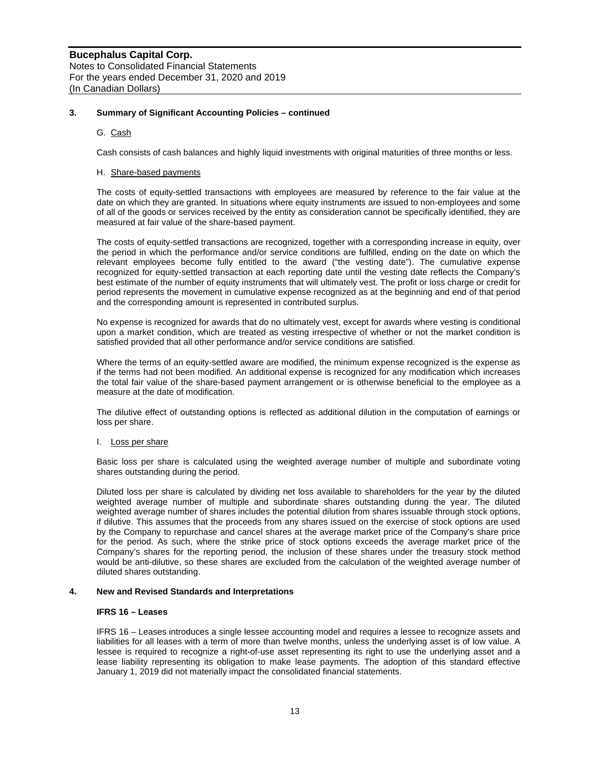## **3. Summary of Significant Accounting Policies – continued**

## G. Cash

Cash consists of cash balances and highly liquid investments with original maturities of three months or less.

#### H. Share-based payments

The costs of equity-settled transactions with employees are measured by reference to the fair value at the date on which they are granted. In situations where equity instruments are issued to non-employees and some of all of the goods or services received by the entity as consideration cannot be specifically identified, they are measured at fair value of the share-based payment.

The costs of equity-settled transactions are recognized, together with a corresponding increase in equity, over the period in which the performance and/or service conditions are fulfilled, ending on the date on which the relevant employees become fully entitled to the award ("the vesting date"). The cumulative expense recognized for equity-settled transaction at each reporting date until the vesting date reflects the Company's best estimate of the number of equity instruments that will ultimately vest. The profit or loss charge or credit for period represents the movement in cumulative expense recognized as at the beginning and end of that period and the corresponding amount is represented in contributed surplus.

No expense is recognized for awards that do no ultimately vest, except for awards where vesting is conditional upon a market condition, which are treated as vesting irrespective of whether or not the market condition is satisfied provided that all other performance and/or service conditions are satisfied.

Where the terms of an equity-settled aware are modified, the minimum expense recognized is the expense as if the terms had not been modified. An additional expense is recognized for any modification which increases the total fair value of the share-based payment arrangement or is otherwise beneficial to the employee as a measure at the date of modification.

The dilutive effect of outstanding options is reflected as additional dilution in the computation of earnings or loss per share.

#### I. Loss per share

Basic loss per share is calculated using the weighted average number of multiple and subordinate voting shares outstanding during the period.

Diluted loss per share is calculated by dividing net loss available to shareholders for the year by the diluted weighted average number of multiple and subordinate shares outstanding during the year. The diluted weighted average number of shares includes the potential dilution from shares issuable through stock options, if dilutive. This assumes that the proceeds from any shares issued on the exercise of stock options are used by the Company to repurchase and cancel shares at the average market price of the Company's share price for the period. As such, where the strike price of stock options exceeds the average market price of the Company's shares for the reporting period, the inclusion of these shares under the treasury stock method would be anti-dilutive, so these shares are excluded from the calculation of the weighted average number of diluted shares outstanding.

#### **4. New and Revised Standards and Interpretations**

#### **IFRS 16 – Leases**

IFRS 16 – Leases introduces a single lessee accounting model and requires a lessee to recognize assets and liabilities for all leases with a term of more than twelve months, unless the underlying asset is of low value. A lessee is required to recognize a right-of-use asset representing its right to use the underlying asset and a lease liability representing its obligation to make lease payments. The adoption of this standard effective January 1, 2019 did not materially impact the consolidated financial statements.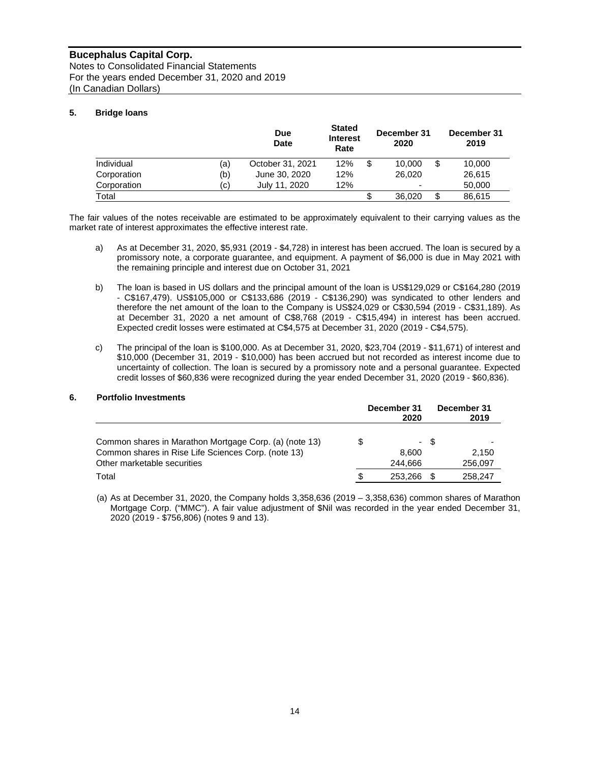Notes to Consolidated Financial Statements For the years ended December 31, 2020 and 2019 (In Canadian Dollars)

## **5. Bridge loans**

|             |     | <b>Due</b><br><b>Date</b> | <b>Stated</b><br><b>Interest</b><br>Rate |   | December 31<br>2020      |    | December 31<br>2019 |
|-------------|-----|---------------------------|------------------------------------------|---|--------------------------|----|---------------------|
| Individual  | (a) | October 31, 2021          | 12%                                      | S | 10.000                   | \$ | 10,000              |
| Corporation | (b) | June 30, 2020             | 12%                                      |   | 26.020                   |    | 26,615              |
| Corporation | (c) | July 11, 2020             | 12%                                      |   | $\overline{\phantom{0}}$ |    | 50,000              |
| Total       |     |                           |                                          |   | 36,020                   | S  | 86,615              |

The fair values of the notes receivable are estimated to be approximately equivalent to their carrying values as the market rate of interest approximates the effective interest rate.

- a) As at December 31, 2020, \$5,931 (2019 \$4,728) in interest has been accrued. The loan is secured by a promissory note, a corporate guarantee, and equipment. A payment of \$6,000 is due in May 2021 with the remaining principle and interest due on October 31, 2021
- b) The loan is based in US dollars and the principal amount of the loan is US\$129,029 or C\$164,280 (2019 - C\$167,479). US\$105,000 or C\$133,686 (2019 - C\$136,290) was syndicated to other lenders and therefore the net amount of the loan to the Company is US\$24,029 or C\$30,594 (2019 - C\$31,189). As at December 31, 2020 a net amount of C\$8,768 (2019 - C\$15,494) in interest has been accrued. Expected credit losses were estimated at C\$4,575 at December 31, 2020 (2019 - C\$4,575).
- c) The principal of the loan is \$100,000. As at December 31, 2020, \$23,704 (2019 \$11,671) of interest and \$10,000 (December 31, 2019 - \$10,000) has been accrued but not recorded as interest income due to uncertainty of collection. The loan is secured by a promissory note and a personal guarantee. Expected credit losses of \$60,836 were recognized during the year ended December 31, 2020 (2019 - \$60,836).

## **6. Portfolio Investments**

|                                                        | December 31<br>2020 |         |      | December 31<br>2019 |
|--------------------------------------------------------|---------------------|---------|------|---------------------|
| Common shares in Marathon Mortgage Corp. (a) (note 13) |                     |         | - \$ |                     |
| Common shares in Rise Life Sciences Corp. (note 13)    |                     | 8.600   |      | 2.150               |
| Other marketable securities                            |                     | 244.666 |      | 256,097             |
| Total                                                  |                     | 253,266 |      | 258.247             |

(a) As at December 31, 2020, the Company holds 3,358,636 (2019 – 3,358,636) common shares of Marathon Mortgage Corp. ("MMC"). A fair value adjustment of \$Nil was recorded in the year ended December 31, 2020 (2019 - \$756,806) (notes 9 and 13).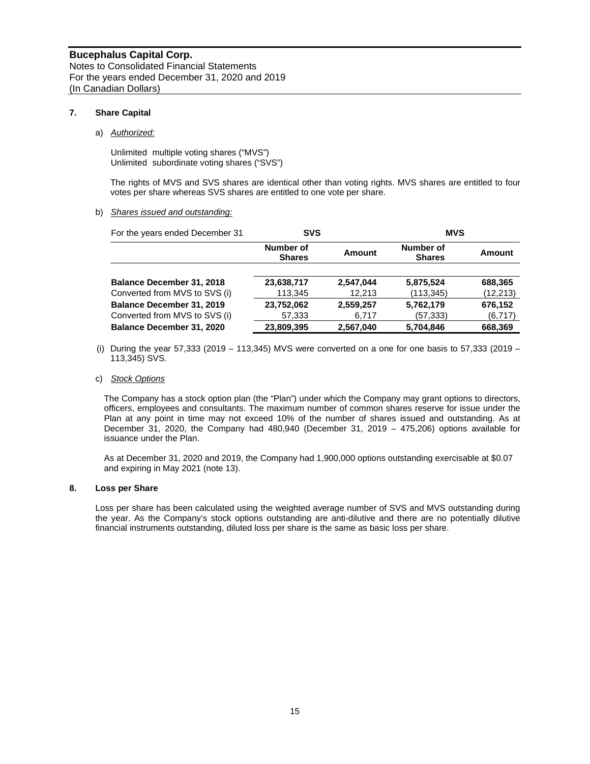Notes to Consolidated Financial Statements For the years ended December 31, 2020 and 2019 (In Canadian Dollars)

## **7. Share Capital**

#### a) *Authorized:*

 Unlimited multiple voting shares ("MVS") Unlimited subordinate voting shares ("SVS")

The rights of MVS and SVS shares are identical other than voting rights. MVS shares are entitled to four votes per share whereas SVS shares are entitled to one vote per share.

## b) *Shares issued and outstanding:*

| For the years ended December 31  | <b>SVS</b>                 |           | <b>MVS</b>                 |           |  |
|----------------------------------|----------------------------|-----------|----------------------------|-----------|--|
|                                  | Number of<br><b>Shares</b> | Amount    | Number of<br><b>Shares</b> | Amount    |  |
| <b>Balance December 31, 2018</b> | 23,638,717                 | 2,547,044 | 5,875,524                  | 688,365   |  |
| Converted from MVS to SVS (i)    | 113,345                    | 12.213    | (113, 345)                 | (12, 213) |  |
| Balance December 31, 2019        | 23,752,062                 | 2,559,257 | 5,762,179                  | 676,152   |  |
| Converted from MVS to SVS (i)    | 57,333                     | 6,717     | (57, 333)                  | (6,717)   |  |
| Balance December 31, 2020        | 23,809,395                 | 2,567,040 | 5,704,846                  | 668.369   |  |

(i) During the year 57,333 (2019 – 113,345) MVS were converted on a one for one basis to 57,333 (2019 – 113,345) SVS.

#### c) *Stock Options*

The Company has a stock option plan (the "Plan") under which the Company may grant options to directors, officers, employees and consultants. The maximum number of common shares reserve for issue under the Plan at any point in time may not exceed 10% of the number of shares issued and outstanding. As at December 31, 2020, the Company had 480,940 (December 31, 2019 – 475,206) options available for issuance under the Plan.

As at December 31, 2020 and 2019, the Company had 1,900,000 options outstanding exercisable at \$0.07 and expiring in May 2021 (note 13).

## **8. Loss per Share**

Loss per share has been calculated using the weighted average number of SVS and MVS outstanding during the year. As the Company's stock options outstanding are anti-dilutive and there are no potentially dilutive financial instruments outstanding, diluted loss per share is the same as basic loss per share.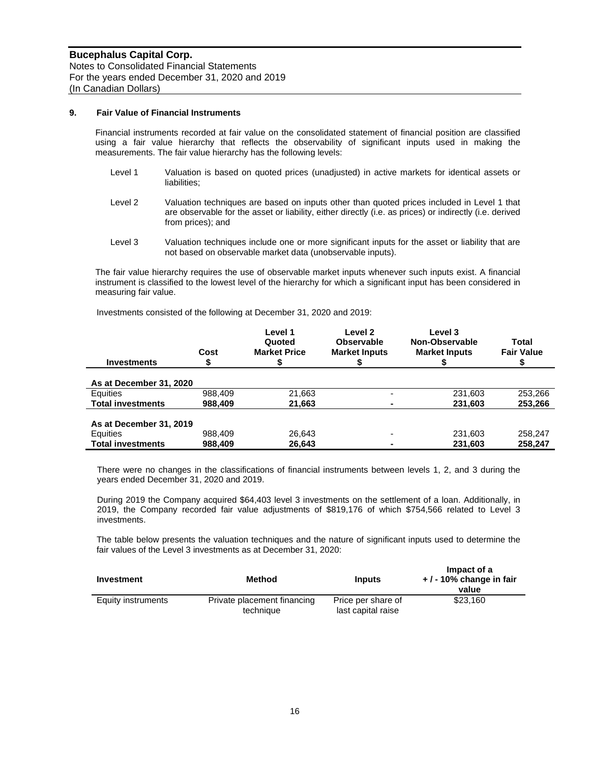## **9. Fair Value of Financial Instruments**

Financial instruments recorded at fair value on the consolidated statement of financial position are classified using a fair value hierarchy that reflects the observability of significant inputs used in making the measurements. The fair value hierarchy has the following levels:

- Level 1 Valuation is based on quoted prices (unadjusted) in active markets for identical assets or liabilities;
- Level 2 Valuation techniques are based on inputs other than quoted prices included in Level 1 that are observable for the asset or liability, either directly (i.e. as prices) or indirectly (i.e. derived from prices); and
- Level 3 Valuation techniques include one or more significant inputs for the asset or liability that are not based on observable market data (unobservable inputs).

The fair value hierarchy requires the use of observable market inputs whenever such inputs exist. A financial instrument is classified to the lowest level of the hierarchy for which a significant input has been considered in measuring fair value.

Investments consisted of the following at December 31, 2020 and 2019:

| <b>Investments</b>       | Cost    | Level 1<br>Quoted<br><b>Market Price</b> | Level 2<br><b>Observable</b><br><b>Market Inputs</b> | Level 3<br>Non-Observable<br><b>Market Inputs</b> | Total<br><b>Fair Value</b> |
|--------------------------|---------|------------------------------------------|------------------------------------------------------|---------------------------------------------------|----------------------------|
|                          |         |                                          |                                                      |                                                   |                            |
| As at December 31, 2020  |         |                                          |                                                      |                                                   |                            |
| Equities                 | 988.409 | 21,663                                   |                                                      | 231,603                                           | 253,266                    |
| <b>Total investments</b> | 988,409 | 21,663                                   |                                                      | 231,603                                           | 253,266                    |
| As at December 31, 2019  |         |                                          |                                                      |                                                   |                            |
| Equities                 | 988,409 | 26,643                                   |                                                      | 231,603                                           | 258,247                    |
| <b>Total investments</b> | 988,409 | 26,643                                   |                                                      | 231,603                                           | 258,247                    |

There were no changes in the classifications of financial instruments between levels 1, 2, and 3 during the years ended December 31, 2020 and 2019.

During 2019 the Company acquired \$64,403 level 3 investments on the settlement of a loan. Additionally, in 2019, the Company recorded fair value adjustments of \$819,176 of which \$754,566 related to Level 3 investments.

The table below presents the valuation techniques and the nature of significant inputs used to determine the fair values of the Level 3 investments as at December 31, 2020:

| Investment         | <b>Method</b>                            | <b>Inputs</b>                            | Impact of a<br>$+$ / - 10% change in fair<br>value |
|--------------------|------------------------------------------|------------------------------------------|----------------------------------------------------|
| Equity instruments | Private placement financing<br>technique | Price per share of<br>last capital raise | \$23.160                                           |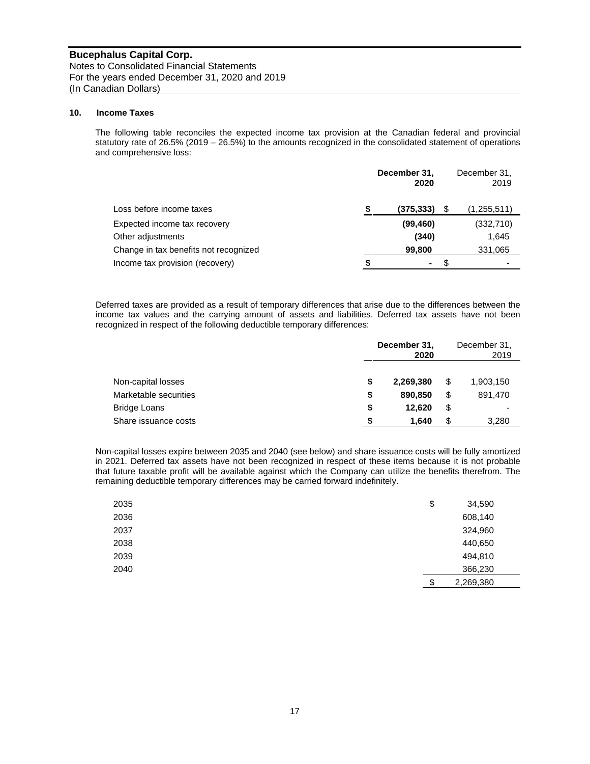Notes to Consolidated Financial Statements For the years ended December 31, 2020 and 2019 (In Canadian Dollars)

## **10. Income Taxes**

The following table reconciles the expected income tax provision at the Canadian federal and provincial statutory rate of 26.5% (2019 – 26.5%) to the amounts recognized in the consolidated statement of operations and comprehensive loss:

|                                       | December 31,<br>2020 | December 31,<br>2019 |
|---------------------------------------|----------------------|----------------------|
| Loss before income taxes              | (375, 333)           | (1,255,511)          |
| Expected income tax recovery          | (99, 460)            | (332, 710)           |
| Other adjustments                     | (340)                | 1.645                |
| Change in tax benefits not recognized | 99,800               | 331,065              |
| Income tax provision (recovery)       | ۰                    |                      |

Deferred taxes are provided as a result of temporary differences that arise due to the differences between the income tax values and the carrying amount of assets and liabilities. Deferred tax assets have not been recognized in respect of the following deductible temporary differences:

|                       | December 31,<br>2020 |           |    | December 31,<br>2019     |  |
|-----------------------|----------------------|-----------|----|--------------------------|--|
| Non-capital losses    | \$                   | 2,269,380 | \$ | 1,903,150                |  |
| Marketable securities | S                    | 890.850   | \$ | 891,470                  |  |
| <b>Bridge Loans</b>   | S                    | 12.620    | \$ | $\overline{\phantom{0}}$ |  |
| Share issuance costs  |                      | 1.640     | S  | 3.280                    |  |

Non-capital losses expire between 2035 and 2040 (see below) and share issuance costs will be fully amortized in 2021. Deferred tax assets have not been recognized in respect of these items because it is not probable that future taxable profit will be available against which the Company can utilize the benefits therefrom. The remaining deductible temporary differences may be carried forward indefinitely.

| 2035 | \$<br>34,590    |
|------|-----------------|
| 2036 | 608,140         |
| 2037 | 324,960         |
| 2038 | 440,650         |
| 2039 | 494,810         |
| 2040 | 366,230         |
|      | \$<br>2,269,380 |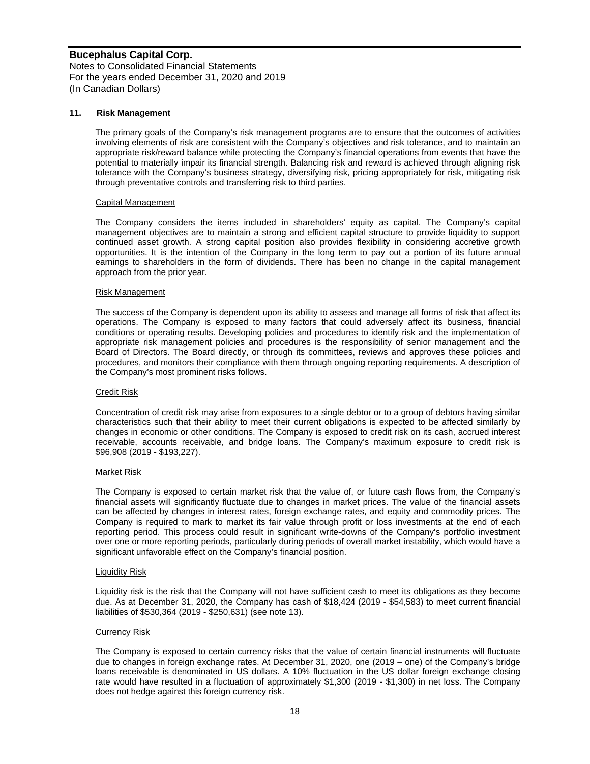**11. Risk Management** 

(In Canadian Dollars)

The primary goals of the Company's risk management programs are to ensure that the outcomes of activities involving elements of risk are consistent with the Company's objectives and risk tolerance, and to maintain an appropriate risk/reward balance while protecting the Company's financial operations from events that have the potential to materially impair its financial strength. Balancing risk and reward is achieved through aligning risk tolerance with the Company's business strategy, diversifying risk, pricing appropriately for risk, mitigating risk through preventative controls and transferring risk to third parties.

#### Capital Management

The Company considers the items included in shareholders' equity as capital. The Company's capital management objectives are to maintain a strong and efficient capital structure to provide liquidity to support continued asset growth. A strong capital position also provides flexibility in considering accretive growth opportunities. It is the intention of the Company in the long term to pay out a portion of its future annual earnings to shareholders in the form of dividends. There has been no change in the capital management approach from the prior year.

#### Risk Management

The success of the Company is dependent upon its ability to assess and manage all forms of risk that affect its operations. The Company is exposed to many factors that could adversely affect its business, financial conditions or operating results. Developing policies and procedures to identify risk and the implementation of appropriate risk management policies and procedures is the responsibility of senior management and the Board of Directors. The Board directly, or through its committees, reviews and approves these policies and procedures, and monitors their compliance with them through ongoing reporting requirements. A description of the Company's most prominent risks follows.

#### Credit Risk

Concentration of credit risk may arise from exposures to a single debtor or to a group of debtors having similar characteristics such that their ability to meet their current obligations is expected to be affected similarly by changes in economic or other conditions. The Company is exposed to credit risk on its cash, accrued interest receivable, accounts receivable, and bridge loans. The Company's maximum exposure to credit risk is \$96,908 (2019 - \$193,227).

#### Market Risk

The Company is exposed to certain market risk that the value of, or future cash flows from, the Company's financial assets will significantly fluctuate due to changes in market prices. The value of the financial assets can be affected by changes in interest rates, foreign exchange rates, and equity and commodity prices. The Company is required to mark to market its fair value through profit or loss investments at the end of each reporting period. This process could result in significant write-downs of the Company's portfolio investment over one or more reporting periods, particularly during periods of overall market instability, which would have a significant unfavorable effect on the Company's financial position.

#### Liquidity Risk

Liquidity risk is the risk that the Company will not have sufficient cash to meet its obligations as they become due. As at December 31, 2020, the Company has cash of \$18,424 (2019 - \$54,583) to meet current financial liabilities of \$530,364 (2019 - \$250,631) (see note 13).

## Currency Risk

The Company is exposed to certain currency risks that the value of certain financial instruments will fluctuate due to changes in foreign exchange rates. At December 31, 2020, one (2019 – one) of the Company's bridge loans receivable is denominated in US dollars. A 10% fluctuation in the US dollar foreign exchange closing rate would have resulted in a fluctuation of approximately \$1,300 (2019 - \$1,300) in net loss. The Company does not hedge against this foreign currency risk.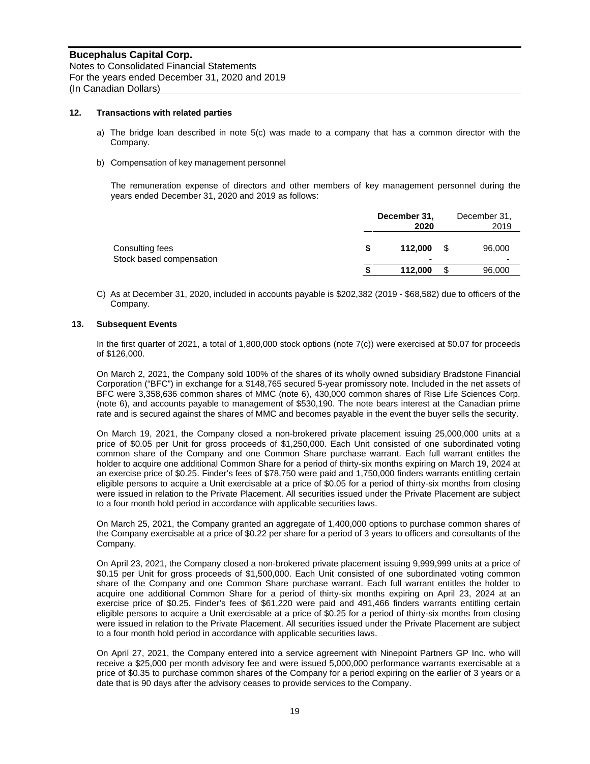## **Bucephalus Capital Corp.**  Notes to Consolidated Financial Statements For the years ended December 31, 2020 and 2019 (In Canadian Dollars)

#### **12. Transactions with related parties**

- a) The bridge loan described in note 5(c) was made to a company that has a common director with the Company.
- b) Compensation of key management personnel

The remuneration expense of directors and other members of key management personnel during the years ended December 31, 2020 and 2019 as follows:

|                                             | December 31,<br>2020 |  | December 31,<br>2019 |  |
|---------------------------------------------|----------------------|--|----------------------|--|
| Consulting fees<br>Stock based compensation | 112,000<br>-         |  | 96,000               |  |
|                                             | 112,000              |  | 96,000               |  |

C) As at December 31, 2020, included in accounts payable is \$202,382 (2019 - \$68,582) due to officers of the Company.

#### **13. Subsequent Events**

In the first quarter of 2021, a total of 1,800,000 stock options (note 7(c)) were exercised at \$0.07 for proceeds of \$126,000.

On March 2, 2021, the Company sold 100% of the shares of its wholly owned subsidiary Bradstone Financial Corporation ("BFC") in exchange for a \$148,765 secured 5-year promissory note. Included in the net assets of BFC were 3,358,636 common shares of MMC (note 6), 430,000 common shares of Rise Life Sciences Corp. (note 6), and accounts payable to management of \$530,190. The note bears interest at the Canadian prime rate and is secured against the shares of MMC and becomes payable in the event the buyer sells the security.

On March 19, 2021, the Company closed a non-brokered private placement issuing 25,000,000 units at a price of \$0.05 per Unit for gross proceeds of \$1,250,000. Each Unit consisted of one subordinated voting common share of the Company and one Common Share purchase warrant. Each full warrant entitles the holder to acquire one additional Common Share for a period of thirty-six months expiring on March 19, 2024 at an exercise price of \$0.25. Finder's fees of \$78,750 were paid and 1,750,000 finders warrants entitling certain eligible persons to acquire a Unit exercisable at a price of \$0.05 for a period of thirty-six months from closing were issued in relation to the Private Placement. All securities issued under the Private Placement are subject to a four month hold period in accordance with applicable securities laws.

On March 25, 2021, the Company granted an aggregate of 1,400,000 options to purchase common shares of the Company exercisable at a price of \$0.22 per share for a period of 3 years to officers and consultants of the Company.

On April 23, 2021, the Company closed a non-brokered private placement issuing 9,999,999 units at a price of \$0.15 per Unit for gross proceeds of \$1,500,000. Each Unit consisted of one subordinated voting common share of the Company and one Common Share purchase warrant. Each full warrant entitles the holder to acquire one additional Common Share for a period of thirty-six months expiring on April 23, 2024 at an exercise price of \$0.25. Finder's fees of \$61,220 were paid and 491,466 finders warrants entitling certain eligible persons to acquire a Unit exercisable at a price of \$0.25 for a period of thirty-six months from closing were issued in relation to the Private Placement. All securities issued under the Private Placement are subject to a four month hold period in accordance with applicable securities laws.

On April 27, 2021, the Company entered into a service agreement with Ninepoint Partners GP Inc. who will receive a \$25,000 per month advisory fee and were issued 5,000,000 performance warrants exercisable at a price of \$0.35 to purchase common shares of the Company for a period expiring on the earlier of 3 years or a date that is 90 days after the advisory ceases to provide services to the Company.